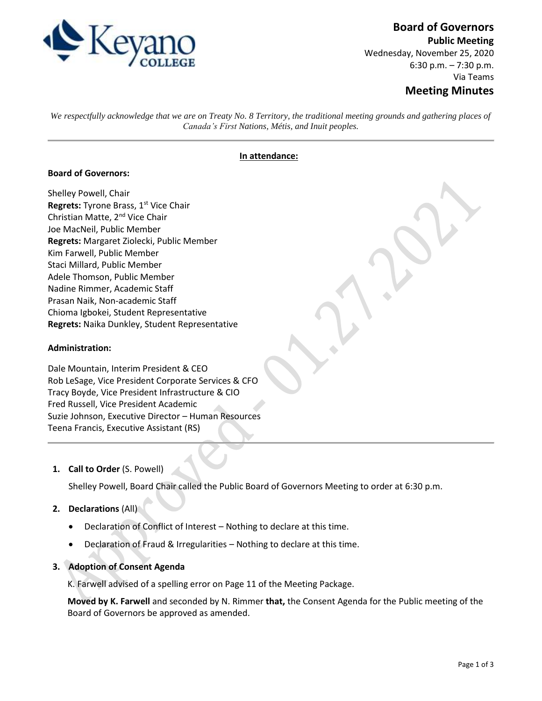

# **Board of Governors**

**Public Meeting** Wednesday, November 25, 2020 6:30 p.m. – 7:30 p.m. Via Teams

# **Meeting Minutes**

*We respectfully acknowledge that we are on Treaty No. 8 Territory, the traditional meeting grounds and gathering places of Canada's First Nations, Métis, and Inuit peoples.*

#### **In attendance:**

#### **Board of Governors:**

Shelley Powell, Chair **Regrets:** Tyrone Brass, 1<sup>st</sup> Vice Chair Christian Matte, 2nd Vice Chair Joe MacNeil, Public Member **Regrets:** Margaret Ziolecki, Public Member Kim Farwell, Public Member Staci Millard, Public Member Adele Thomson, Public Member Nadine Rimmer, Academic Staff Prasan Naik, Non-academic Staff Chioma Igbokei, Student Representative **Regrets:** Naika Dunkley, Student Representative

#### **Administration:**

Dale Mountain, Interim President & CEO Rob LeSage, Vice President Corporate Services & CFO Tracy Boyde, Vice President Infrastructure & CIO Fred Russell, Vice President Academic Suzie Johnson, Executive Director – Human Resources Teena Francis, Executive Assistant (RS)

#### **1. Call to Order** (S. Powell)

Shelley Powell, Board Chair called the Public Board of Governors Meeting to order at 6:30 p.m.

# **2. Declarations** (All)

- Declaration of Conflict of Interest Nothing to declare at this time.
- Declaration of Fraud & Irregularities Nothing to declare at this time.

# **3. Adoption of Consent Agenda**

K. Farwell advised of a spelling error on Page 11 of the Meeting Package.

**Moved by K. Farwell** and seconded by N. Rimmer **that,** the Consent Agenda for the Public meeting of the Board of Governors be approved as amended.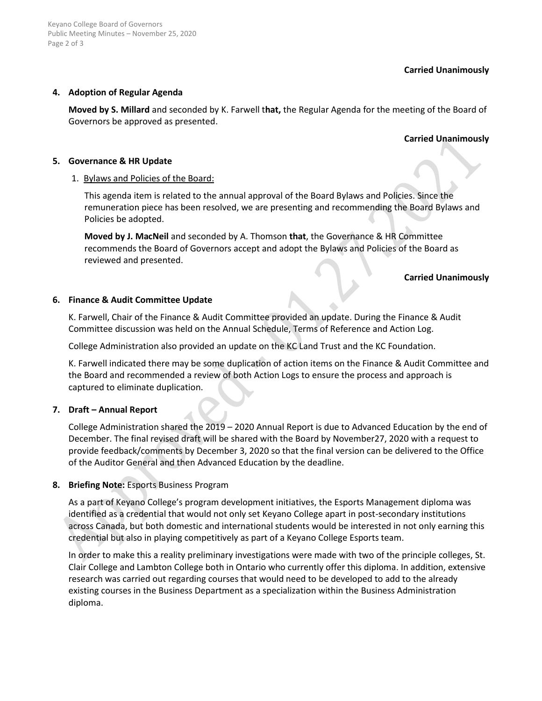# **Carried Unanimously**

# **4. Adoption of Regular Agenda**

**Moved by S. Millard** and seconded by K. Farwell t**hat,** the Regular Agenda for the meeting of the Board of Governors be approved as presented.

# **Carried Unanimously**

#### **5. Governance & HR Update**

# 1. Bylaws and Policies of the Board:

This agenda item is related to the annual approval of the Board Bylaws and Policies. Since the remuneration piece has been resolved, we are presenting and recommending the Board Bylaws and Policies be adopted.

**Moved by J. MacNeil** and seconded by A. Thomson **that**, the Governance & HR Committee recommends the Board of Governors accept and adopt the Bylaws and Policies of the Board as reviewed and presented.

# **Carried Unanimously**

# **6. Finance & Audit Committee Update**

K. Farwell, Chair of the Finance & Audit Committee provided an update. During the Finance & Audit Committee discussion was held on the Annual Schedule, Terms of Reference and Action Log.

College Administration also provided an update on the KC Land Trust and the KC Foundation.

K. Farwell indicated there may be some duplication of action items on the Finance & Audit Committee and the Board and recommended a review of both Action Logs to ensure the process and approach is captured to eliminate duplication.

# **7. Draft – Annual Report**

College Administration shared the 2019 – 2020 Annual Report is due to Advanced Education by the end of December. The final revised draft will be shared with the Board by November27, 2020 with a request to provide feedback/comments by December 3, 2020 so that the final version can be delivered to the Office of the Auditor General and then Advanced Education by the deadline.

# **8. Briefing Note:** Esports Business Program

As a part of Keyano College's program development initiatives, the Esports Management diploma was identified as a credential that would not only set Keyano College apart in post-secondary institutions across Canada, but both domestic and international students would be interested in not only earning this credential but also in playing competitively as part of a Keyano College Esports team.

In order to make this a reality preliminary investigations were made with two of the principle colleges, St. Clair College and Lambton College both in Ontario who currently offer this diploma. In addition, extensive research was carried out regarding courses that would need to be developed to add to the already existing courses in the Business Department as a specialization within the Business Administration diploma.